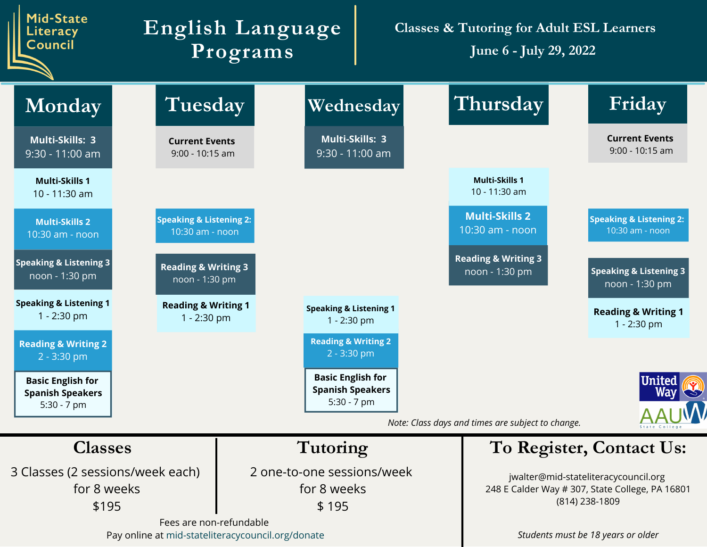| Mid-State<br><b>Literacy</b><br><b>Council</b>                               |                                                       | English Language<br>Programs                                       |                                      | <b>Classes &amp; Tutoring for Adult ESL Learners</b><br>June 6 - July 29, 2022 |                                                                                                           |  |
|------------------------------------------------------------------------------|-------------------------------------------------------|--------------------------------------------------------------------|--------------------------------------|--------------------------------------------------------------------------------|-----------------------------------------------------------------------------------------------------------|--|
| Monday                                                                       | Tuesday                                               |                                                                    | Wednesday                            | Thursday                                                                       | Friday                                                                                                    |  |
| Multi-Skills: 3<br>9:30 - 11:00 am                                           | <b>Current Events</b><br>$9:00 - 10:15$ am            |                                                                    | Multi-Skills: 3<br>$9:30 - 11:00$ am |                                                                                | <b>Current Events</b><br>9:00 - 10:15 am                                                                  |  |
| <b>Multi-Skills 1</b><br>10 - 11:30 am                                       |                                                       |                                                                    |                                      | <b>Multi-Skills 1</b><br>10 - 11:30 am                                         |                                                                                                           |  |
| <b>Multi-Skills 2</b><br>10:30 am - noon                                     | <b>Speaking &amp; Listening 2:</b><br>10:30 am - noon |                                                                    |                                      | <b>Multi-Skills 2</b><br>10:30 am - noon                                       | <b>Speaking &amp; Listening 2:</b><br>10:30 am - noon                                                     |  |
| <b>Speaking &amp; Listening 3</b><br>noon - 1:30 pm                          | <b>Reading &amp; Writing 3</b><br>noon - 1:30 pm      |                                                                    |                                      | <b>Reading &amp; Writing 3</b><br>noon - 1:30 pm                               | <b>Speaking &amp; Listening 3</b><br>noon - 1:30 pm                                                       |  |
| <b>Speaking &amp; Listening 1</b><br>$1 - 2:30$ pm                           | <b>Reading &amp; Writing 1</b><br>$1 - 2:30$ pm       | <b>Speaking &amp; Listening 1</b><br>$1 - 2:30$ pm                 |                                      |                                                                                | <b>Reading &amp; Writing 1</b><br>$1 - 2:30$ pm                                                           |  |
| <b>Reading &amp; Writing 2</b><br>2 - 3:30 pm                                |                                                       | <b>Reading &amp; Writing 2</b><br>$2 - 3:30$ pm                    |                                      |                                                                                |                                                                                                           |  |
| <b>Basic English for</b><br><b>Spanish Speakers</b><br>5:30 - 7 pm           |                                                       | <b>Basic English for</b><br><b>Spanish Speakers</b><br>5:30 - 7 pm |                                      | Note: Class days and times are subject to change.                              | <b>United</b><br>Way<br><b>AALIMA</b>                                                                     |  |
| <b>Classes</b>                                                               |                                                       | Tutoring                                                           |                                      |                                                                                | To Register, Contact Us:                                                                                  |  |
| 3 Classes (2 sessions/week each)<br>for 8 weeks<br>\$195                     |                                                       | 2 one-to-one sessions/week<br>for 8 weeks<br>\$195                 |                                      |                                                                                | jwalter@mid-stateliteracycouncil.org<br>248 E Calder Way # 307, State College, PA 16801<br>(814) 238-1809 |  |
| Fees are non-refundable<br>Pay online at mid-stateliteracycouncil.org/donate |                                                       |                                                                    |                                      |                                                                                | Students must be 18 years or older                                                                        |  |